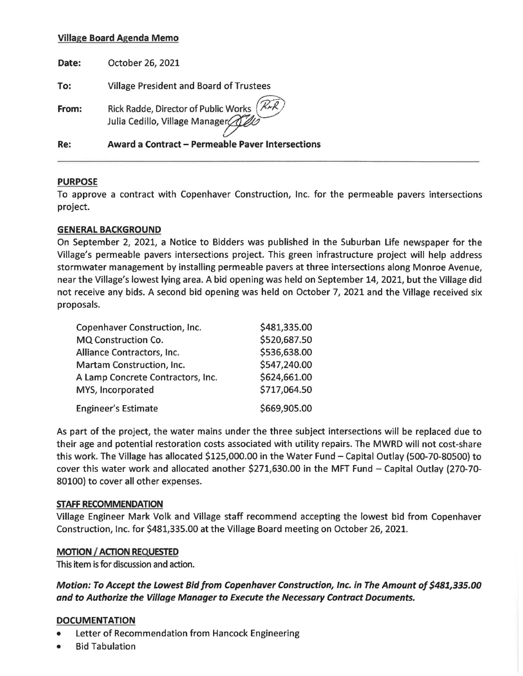# **Village Board Agenda Memo**

| Re:   | Award a Contract - Permeable Paver Intersections                                   |
|-------|------------------------------------------------------------------------------------|
| From: | Rick Radde, Director of Public Works (RAR)<br>Julia Cedillo, Village Manager (ALLO |
| To:   | <b>Village President and Board of Trustees</b>                                     |
| Date: | October 26, 2021                                                                   |

## **PURPOSE**

To approve a contract with Copenhaver Construction, Inc. for the permeable pavers intersections project.

## **GENERAL BACKGROUND**

On September 2, 2021, a Notice to Bidders was published in the Suburban Life newspaper for the Village's permeable pavers intersections project. This green infrastructure project will help address stormwater management by installing permeable pavers at three intersections along Monroe Avenue, near the Village's lowest lying area. A bid opening was held on September 14, 2021, but the Village did not receive any bids. A second bid opening was held on October 7, 2021 and the Village received six proposals.

| Copenhaver Construction, Inc.     | \$481,335.00 |
|-----------------------------------|--------------|
| MQ Construction Co.               | \$520,687.50 |
| Alliance Contractors, Inc.        | \$536,638.00 |
| Martam Construction, Inc.         | \$547,240.00 |
| A Lamp Concrete Contractors, Inc. | \$624,661.00 |
| MYS, Incorporated                 | \$717,064.50 |
| <b>Engineer's Estimate</b>        | \$669,905.00 |

As part of the project, the water mains under the three subject intersections will be replaced due to their age and potential restoration costs associated with utility repairs. The MWRD will not cost-share this work. The Village has allocated \$125,000.00 in the Water Fund - Capital Outlay (500-70-80500) to cover this water work and allocated another \$271,630.00 in the MFT Fund - Capital Outlay (270-70- 80100) to cover all other expenses.

## **STAFF RECOMMENDATION**

Village Engineer Mark Volk and Village staff recommend accepting the lowest bid from Copenhaver Construction, Inc. for \$481,335.00 at the Village Board meeting on October 26, 2021.

# **MOTION / ACTION REQUESTED**

This item is for discussion and action.

**Motion: To Accept the Lowest Bid from Copenhaver Construction, Inc. in The Amount of \$481,335.00 and to Authorize the Village Manager to Execute the Necessary Contract Documents.** 

# **DOCUMENTATION**

- Letter of Recommendation from Hancock Engineering
- Bid Tabulation